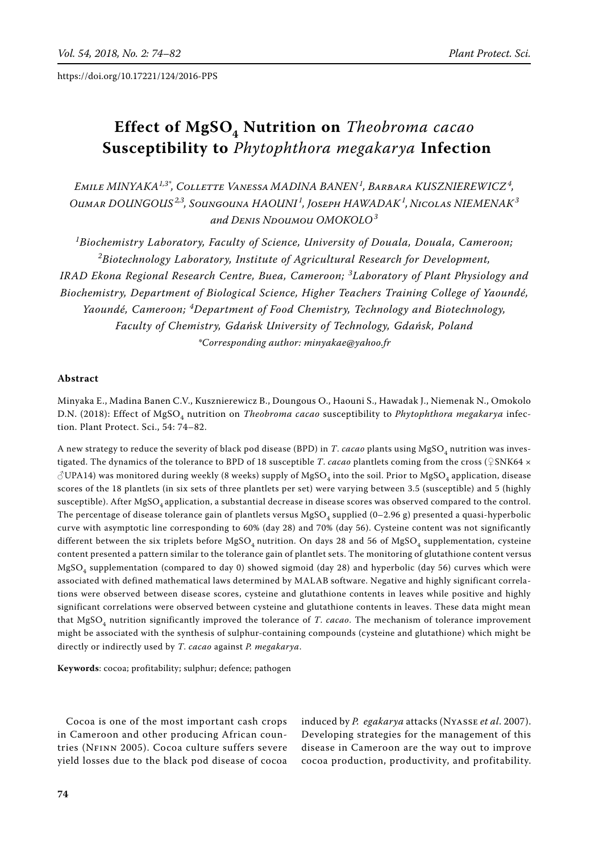# **Effect of MgSO4 Nutrition on** *Theobroma cacao*  **Susceptibility to** *Phytophthora megakarya* **Infection**

*Emile Minyaka1,3\* , Collette Vanessa Madina Banen<sup>1</sup> , Barbara Kusznierewicz<sup>4</sup> , Oumar Doungous 2,3, Soungouna Haouni <sup>1</sup> , Joseph Hawadak<sup>1</sup> , Nicolas Niemenak<sup>3</sup>* and *DENIS NDOUMOU OMOKOLO*<sup>3</sup>

*1 Biochemistry Laboratory, Faculty of Science, University of Douala, Douala, Cameroon; 2 Biotechnology Laboratory, Institute of Agricultural Research for Development, IRAD Ekona Regional Research Centre, Buea, Cameroon; <sup>3</sup> Laboratory of Plant Physiology and Biochemistry, Department of Biological Science, Higher Teachers Training College of Yaoundé, Yaoundé, Cameroon; <sup>4</sup> Department of Food Chemistry, Technology and Biotechnology, Faculty of Chemistry, Gdańsk University of Technology, Gdańsk, Poland \*Corresponding author: minyakae@yahoo.fr* 

# **Abstract**

Minyaka E., Madina Banen C.V., Kusznierewicz B., Doungous O., Haouni S., Hawadak J., Niemenak N., Omokolo D.N. (2018): Effect of MgSO4 nutrition on *Theobroma cacao* susceptibility to *Phytophthora megakarya* infection. Plant Protect. Sci., 54: 74–82.

A new strategy to reduce the severity of black pod disease (BPD) in *T. cacao* plants using MgSO<sub>4</sub> nutrition was investigated. The dynamics of the tolerance to BPD of 18 susceptible *T*. *cacao* plantlets coming from the cross (♀SNK64 ×  $\circlearrowleft$ UPA14) was monitored during weekly (8 weeks) supply of MgSO<sub>4</sub> into the soil. Prior to MgSO<sub>4</sub> application, disease scores of the 18 plantlets (in six sets of three plantlets per set) were varying between 3.5 (susceptible) and 5 (highly susceptible). After  $MgSO_4$  application, a substantial decrease in disease scores was observed compared to the control. The percentage of disease tolerance gain of plantlets versus  $MgSO_4$  supplied (0–2.96 g) presented a quasi-hyperbolic curve with asymptotic line corresponding to 60% (day 28) and 70% (day 56). Cysteine content was not significantly different between the six triplets before  $MgSO<sub>4</sub>$  nutrition. On days 28 and 56 of  $MgSO<sub>4</sub>$  supplementation, cysteine content presented a pattern similar to the tolerance gain of plantlet sets. The monitoring of glutathione content versus MgSO4 supplementation (compared to day 0) showed sigmoid (day 28) and hyperbolic (day 56) curves which were associated with defined mathematical laws determined by MALAB software. Negative and highly significant correlations were observed between disease scores, cysteine and glutathione contents in leaves while positive and highly significant correlations were observed between cysteine and glutathione contents in leaves. These data might mean that MgSO4 nutrition significantly improved the tolerance of *T*. *cacao*. The mechanism of tolerance improvement might be associated with the synthesis of sulphur-containing compounds (cysteine and glutathione) which might be directly or indirectly used by *T*. *cacao* against *P. megakarya*.

**Keywords**: cocoa; profitability; sulphur; defence; pathogen

Cocoa is one of the most important cash crops in Cameroon and other producing African countries (Nfinn 2005). Cocoa culture suffers severe yield losses due to the black pod disease of cocoa

induced by *P. egakarya* attacks (Nyasse *et al*. 2007). Developing strategies for the management of this disease in Cameroon are the way out to improve cocoa production, productivity, and profitability.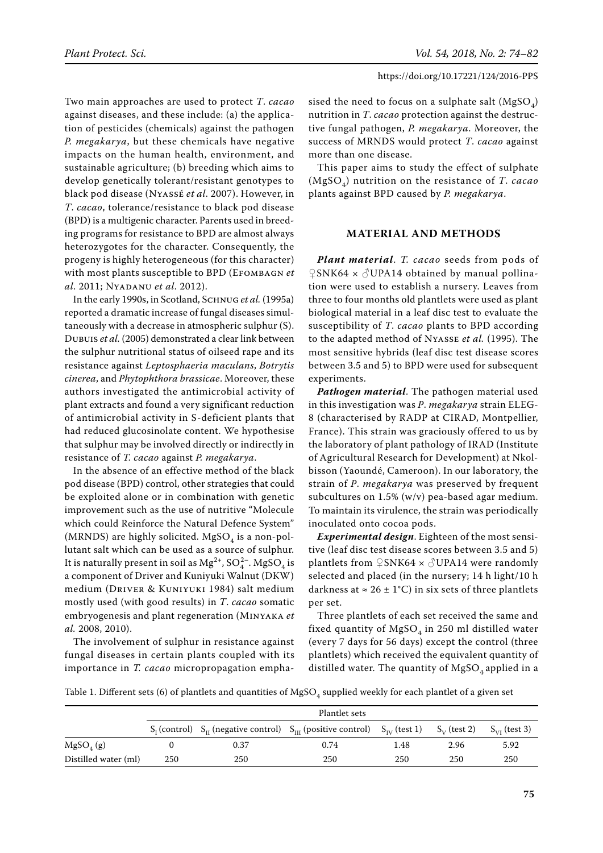Two main approaches are used to protect *T*. *cacao* against diseases, and these include: (a) the application of pesticides (chemicals) against the pathogen *P. megakarya*, but these chemicals have negative impacts on the human health, environment, and sustainable agriculture; (b) breeding which aims to develop genetically tolerant/resistant genotypes to black pod disease (Nyassé *et al*. 2007). However, in *T*. *cacao*, tolerance/resistance to black pod disease (BPD) is a multigenic character. Parents used in breeding programs for resistance to BPD are almost always heterozygotes for the character. Consequently, the progeny is highly heterogeneous (for this character) with most plants susceptible to BPD (Efombagn *et al*. 2011; Nyadanu *et al*. 2012).

In the early 1990s, in Scotland, SCHNUG et al. (1995a) reported a dramatic increase of fungal diseases simultaneously with a decrease in atmospheric sulphur (S). Dubuis *et al.* (2005) demonstrated a clear link between the sulphur nutritional status of oilseed rape and its resistance against *Leptosphaeria maculans*, *Botrytis cinerea*, and *Phytophthora brassicae*. Moreover, these authors investigated the antimicrobial activity of plant extracts and found a very significant reduction of antimicrobial activity in S-deficient plants that had reduced glucosinolate content. We hypothesise that sulphur may be involved directly or indirectly in resistance of *T. cacao* against *P. megakarya*.

In the absence of an effective method of the black pod disease (BPD) control, other strategies that could be exploited alone or in combination with genetic improvement such as the use of nutritive "Molecule which could Reinforce the Natural Defence System" (MRNDS) are highly solicited. MgSO<sub>4</sub> is a non-pollutant salt which can be used as a source of sulphur. It is naturally present in soil as  $Mg^{2+}$ ,  $SO_4^{2-}$ .  $MgSO_4$  is a component of Driver and Kuniyuki Walnut (DKW) medium (Driver & Kuniyuki 1984) salt medium mostly used (with good results) in *T*. *cacao* somatic embryogenesis and plant regeneration (Minyaka *et al.* 2008, 2010).

The involvement of sulphur in resistance against fungal diseases in certain plants coupled with its importance in *T. cacao* micropropagation empha-

sised the need to focus on a sulphate salt  $(MgSO<sub>4</sub>)$ nutrition in *T*. *cacao* protection against the destructive fungal pathogen, *P. megakarya*. Moreover, the success of MRNDS would protect *T*. *cacao* against more than one disease.

This paper aims to study the effect of sulphate (MgSO4) nutrition on the resistance of *T*. *cacao* plants against BPD caused by *P. megakarya*.

# **Material and methods**

*Plant material*. *T. cacao* seeds from pods of  $\sqrt{2}$ SNK64 ×  $\sqrt{2}$ UPA14 obtained by manual pollination were used to establish a nursery. Leaves from three to four months old plantlets were used as plant biological material in a leaf disc test to evaluate the susceptibility of *T*. *cacao* plants to BPD according to the adapted method of Nyasse *et al.* (1995). The most sensitive hybrids (leaf disc test disease scores between 3.5 and 5) to BPD were used for subsequent experiments.

*Pathogen material*. The pathogen material used in this investigation was *P*. *megakarya* strain ELEG-8 (characterised by RADP at CIRAD, Montpellier, France). This strain was graciously offered to us by the laboratory of plant pathology of IRAD (Institute of Agricultural Research for Development) at Nkolbisson (Yaoundé, Cameroon). In our laboratory, the strain of *P*. *megakarya* was preserved by frequent subcultures on 1.5% (w/v) pea-based agar medium. To maintain its virulence, the strain was periodically inoculated onto cocoa pods.

*Experimental design*. Eighteen of the most sensitive (leaf disc test disease scores between 3.5 and 5) plantlets from  $\sqrt{2}$ SNK64 ×  $\sqrt{2}$ UPA14 were randomly selected and placed (in the nursery; 14 h light/10 h darkness at  $\approx 26 \pm 1^{\circ}C$ ) in six sets of three plantlets per set.

Three plantlets of each set received the same and fixed quantity of  $MgSO<sub>4</sub>$  in 250 ml distilled water (every 7 days for 56 days) except the control (three plantlets) which received the equivalent quantity of distilled water. The quantity of  $MgSO_4$  applied in a

Table 1. Different sets (6) of plantlets and quantities of  $MgSO<sub>4</sub>$  supplied weekly for each plantlet of a given set

|                       | Plantlet sets |      |                                                                                                                      |      |                  |                        |  |  |  |  |
|-----------------------|---------------|------|----------------------------------------------------------------------------------------------------------------------|------|------------------|------------------------|--|--|--|--|
|                       |               |      | $S_{\text{H}}$ (control) $S_{\text{H}}$ (negative control) $S_{\text{H}}$ (positive control) $S_{\text{H}}$ (test 1) |      | $S_{y}$ (test 2) | $S_{\rm vir}$ (test 3) |  |  |  |  |
| MgSO <sub>4</sub> (g) |               | 0.37 | 0.74                                                                                                                 | 1.48 | 2.96             | 5.92                   |  |  |  |  |
| Distilled water (ml)  | 250           | 250  | 250                                                                                                                  | 250  | 250              | 250                    |  |  |  |  |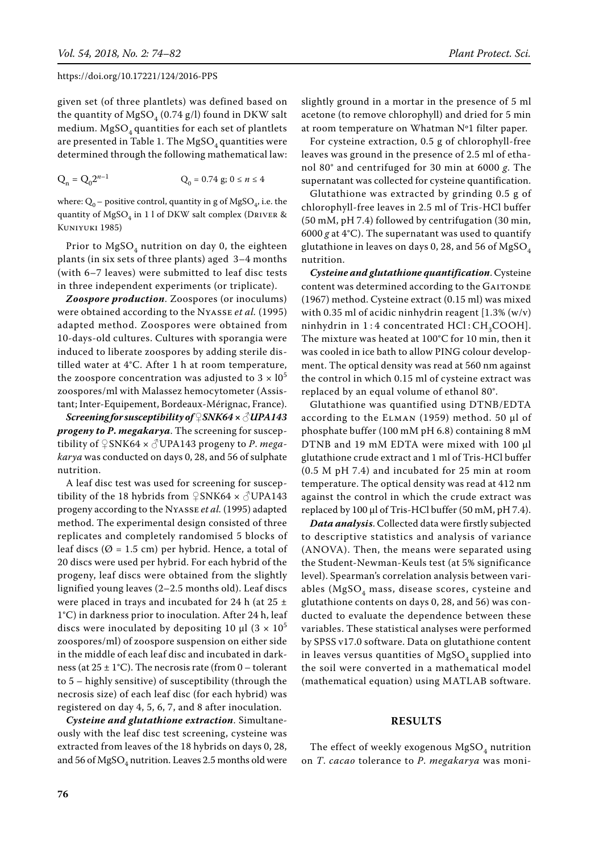given set (of three plantlets) was defined based on the quantity of MgSO<sub>4</sub> (0.74 g/l) found in DKW salt medium.  $MgSO<sub>4</sub>$  quantities for each set of plantlets are presented in Table 1. The  $MgSO<sub>4</sub>$  quantities were determined through the following mathematical law:

$$
Q_n = Q_0 2^{n-1} \t Q_0 = 0.74 \text{ g}; 0 \le n \le 4
$$

where:  $Q_0$  – positive control, quantity in g of MgSO<sub>4</sub>, i.e. the quantity of  $MgSO_4$  in 1 l of DKW salt complex (DRIVER & Kuniyuki 1985)

Prior to  $MgSO<sub>4</sub>$  nutrition on day 0, the eighteen plants (in six sets of three plants) aged 3–4 months (with 6–7 leaves) were submitted to leaf disc tests in three independent experiments (or triplicate).

*Zoospore production*. Zoospores (or inoculums) were obtained according to the Nyasse *et al.* (1995) adapted method. Zoospores were obtained from 10-days-old cultures. Cultures with sporangia were induced to liberate zoospores by adding sterile distilled water at 4°C. After 1 h at room temperature, the zoospore concentration was adjusted to  $3 \times 10^5$ zoospores/ml with Malassez hemocytometer (Assistant; Inter-Equipement, Bordeaux-Mérignac, France).

*Screening for susceptibility of* **♀***SNK64 ×* ♂*UPA143 progeny to P***.** *megakarya*. The screening for susceptibility of  $\sqrt{2}$  SNK64 ×  $\sqrt{2}$  UPA143 progeny to *P. megakarya* was conducted on days 0, 28, and 56 of sulphate nutrition.

A leaf disc test was used for screening for susceptibility of the 18 hybrids from  $\frac{6}{7}$ SNK64 ×  $\frac{3}{7}$ UPA143 progeny according to the Nyasse *et al.* (1995) adapted method. The experimental design consisted of three replicates and completely randomised 5 blocks of leaf discs ( $\varnothing$  = 1.5 cm) per hybrid. Hence, a total of 20 discs were used per hybrid. For each hybrid of the progeny, leaf discs were obtained from the slightly lignified young leaves (2–2.5 months old). Leaf discs were placed in trays and incubated for 24 h (at 25 ± 1°C) in darkness prior to inoculation. After 24 h, leaf discs were inoculated by depositing 10 µl  $(3 \times 10^5$ zoospores/ml) of zoospore suspension on either side in the middle of each leaf disc and incubated in darkness (at  $25 \pm 1^{\circ}$ C). The necrosis rate (from 0 – tolerant to 5 – highly sensitive) of susceptibility (through the necrosis size) of each leaf disc (for each hybrid) was registered on day 4, 5, 6, 7, and 8 after inoculation.

*Cysteine and glutathione extraction*. Simultaneously with the leaf disc test screening, cysteine was extracted from leaves of the 18 hybrids on days 0, 28, and 56 of  $MgSO<sub>4</sub>$  nutrition. Leaves 2.5 months old were slightly ground in a mortar in the presence of 5 ml acetone (to remove chlorophyll) and dried for 5 min at room temperature on Whatman Nº1 filter paper.

For cysteine extraction, 0.5 g of chlorophyll-free leaves was ground in the presence of 2.5 ml of ethanol 80° and centrifuged for 30 min at 6000 *g*. The supernatant was collected for cysteine quantification.

Glutathione was extracted by grinding 0.5 g of chlorophyll-free leaves in 2.5 ml of Tris-HCl buffer (50 mM, pH 7.4) followed by centrifugation (30 min, 6000 *g* at 4°C). The supernatant was used to quantify glutathione in leaves on days 0, 28, and 56 of  $MgSO<sub>4</sub>$ nutrition.

*Cysteine and glutathione quantification*. Cysteine content was determined according to the GAITONDE (1967) method. Cysteine extract (0.15 ml) was mixed with 0.35 ml of acidic ninhydrin reagent  $[1.3\% (w/v)]$ ninhydrin in 1:4 concentrated HCl: CH<sub>3</sub>COOH]. The mixture was heated at 100°C for 10 min, then it was cooled in ice bath to allow PING colour development. The optical density was read at 560 nm against the control in which 0.15 ml of cysteine extract was replaced by an equal volume of ethanol 80°.

Glutathione was quantified using DTNB/EDTA according to the Elman (1959) method. 50 µl of phosphate buffer (100 mM pH 6.8) containing 8 mM DTNB and 19 mM EDTA were mixed with 100 µl glutathione crude extract and 1 ml of Tris-HCl buffer (0.5 M pH 7.4) and incubated for 25 min at room temperature. The optical density was read at 412 nm against the control in which the crude extract was replaced by 100 µl of Tris-HCl buffer (50 mM, pH 7.4).

*Data analysis*. Collected data were firstly subjected to descriptive statistics and analysis of variance (ANOVA). Then, the means were separated using the Student-Newman-Keuls test (at 5% significance level). Spearman's correlation analysis between variables ( $MgSO_4$  mass, disease scores, cysteine and glutathione contents on days 0, 28, and 56) was conducted to evaluate the dependence between these variables. These statistical analyses were performed by SPSS v17.0 software. Data on glutathione content in leaves versus quantities of  $MgSO<sub>4</sub>$  supplied into the soil were converted in a mathematical model (mathematical equation) using MATLAB software.

## **Results**

The effect of weekly exogenous  $MgSO<sub>4</sub>$  nutrition on *T*. *cacao* tolerance to *P*. *megakarya* was moni-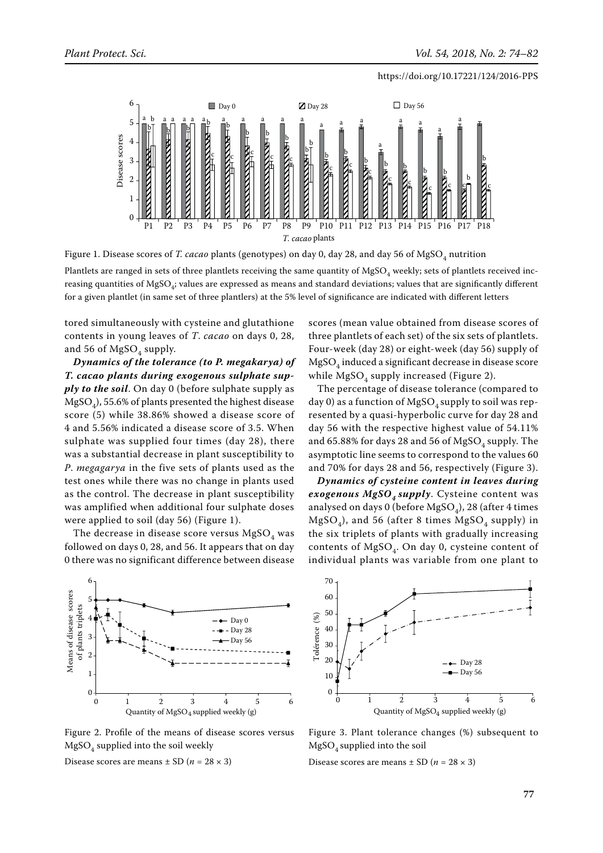

Figure 1. Disease scores of *T. cacao* plants (genotypes) on day 0, day 28, and day 56 of MgSO<sub>4</sub> nutrition Plantlets are ranged in sets of three plantlets receiving the same quantity of  $MgSO<sub>4</sub>$  weekly; sets of plantlets received increasing quantities of MgSO<sub>4</sub>; values are expressed as means and standard deviations; values that are significantly different for a given plantlet (in same set of three plantlers) at the 5% level of significance are indicated with different letters

tored simultaneously with cysteine and glutathione contents in young leaves of *T*. *cacao* on days 0, 28, and 56 of MgSO<sub>4</sub> supply.

*Dynamics of the tolerance (to P. megakarya) of T. cacao plants during exogenous sulphate supply to the soil*. On day 0 (before sulphate supply as  $MgSO<sub>a</sub>$ ), 55.6% of plants presented the highest disease score (5) while 38.86% showed a disease score of 4 and 5.56% indicated a disease score of 3.5. When sulphate was supplied four times (day 28), there was a substantial decrease in plant susceptibility to *P*. *megagarya* in the five sets of plants used as the test ones while there was no change in plants used as the control. The decrease in plant susceptibility was amplified when additional four sulphate doses were applied to soil (day 56) (Figure 1).

The decrease in disease score versus  $MgSO<sub>a</sub>$  was followed on days 0, 28, and 56. It appears that on day 0 there was no significant difference between disease



Figure 2. Profile of the means of disease scores versus  $MgSO<sub>4</sub>$  supplied into the soil weekly

Disease scores are means  $\pm$  SD ( $n = 28 \times 3$ )

scores (mean value obtained from disease scores of three plantlets of each set) of the six sets of plantlets. Four-week (day 28) or eight-week (day 56) supply of  $MgSO<sub>4</sub>$  induced a significant decrease in disease score while  $MgSO<sub>4</sub>$  supply increased (Figure 2).

The percentage of disease tolerance (compared to day 0) as a function of MgSO<sub>4</sub> supply to soil was represented by a quasi-hyperbolic curve for day 28 and day 56 with the respective highest value of 54.11% and 65.88% for days 28 and 56 of  $MgSO<sub>4</sub>$  supply. The asymptotic line seems to correspond to the values 60 and 70% for days 28 and 56, respectively (Figure 3).

*Dynamics of cysteine content in leaves during*  exogenous MgSO<sub>4</sub> supply. Cysteine content was analysed on days 0 (before  $MgSO<sub>4</sub>$ ), 28 (after 4 times  $MgSO<sub>4</sub>$ ), and 56 (after 8 times  $MgSO<sub>4</sub>$  supply) in the six triplets of plants with gradually increasing contents of  $MgSO_4$ . On day 0, cysteine content of individual plants was variable from one plant to



Figure 3. Plant tolerance changes (%) subsequent to  $MgSO<sub>4</sub>$  supplied into the soil

Disease scores are means  $\pm$  SD ( $n = 28 \times 3$ )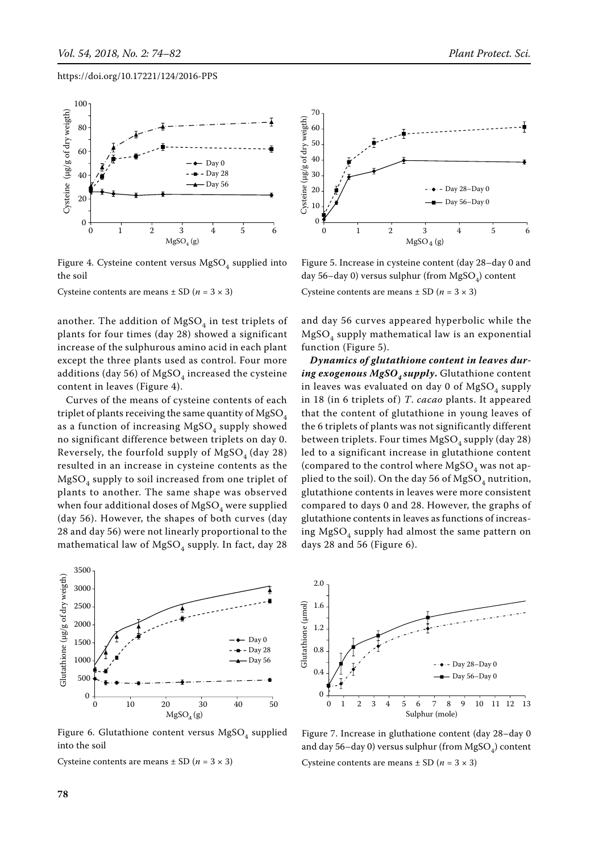

Figure 4. Cysteine content versus  $MgSO<sub>4</sub>$  supplied into the soil

Cysteine contents are means  $\pm$  SD ( $n = 3 \times 3$ )

another. The addition of  $MgSO<sub>4</sub>$  in test triplets of plants for four times (day 28) showed a significant increase of the sulphurous amino acid in each plant except the three plants used as control. Four more additions (day 56) of  $MgSO<sub>4</sub>$  increased the cysteine content in leaves (Figure 4).

Curves of the means of cysteine contents of each triplet of plants receiving the same quantity of  $MgSO<sub>4</sub>$ as a function of increasing  $MgSO<sub>4</sub>$  supply showed no significant difference between triplets on day 0. Reversely, the fourfold supply of  $MgSO<sub>4</sub>$  (day 28) resulted in an increase in cysteine contents as the  $MgSO<sub>4</sub>$  supply to soil increased from one triplet of plants to another. The same shape was observed when four additional doses of  $MgSO<sub>4</sub>$  were supplied (day 56). However, the shapes of both curves (day 28 and day 56) were not linearly proportional to the mathematical law of  $MgSO_4$  supply. In fact, day 28



Figure 6. Glutathione content versus  $MgSO<sub>4</sub>$  supplied into the soil

Cysteine contents are means  $\pm$  SD ( $n = 3 \times 3$ )



Figure 5. Increase in cysteine content (day 28–day 0 and day 56–day 0) versus sulphur (from  $MgSO<sub>A</sub>$ ) content Cysteine contents are means  $\pm$  SD ( $n = 3 \times 3$ )

and day 56 curves appeared hyperbolic while the  $MgSO<sub>a</sub>$  supply mathematical law is an exponential function (Figure 5).

*Dynamics of glutathione content in leaves dur*ing exogenous MgSO<sub>4</sub> supply. Glutathione content in leaves was evaluated on day 0 of  $MgSO<sub>4</sub>$  supply in 18 (in 6 triplets of) *T*. *cacao* plants. It appeared that the content of glutathione in young leaves of the 6 triplets of plants was not significantly different between triplets. Four times  $MgSO<sub>4</sub>$  supply (day 28) led to a significant increase in glutathione content (compared to the control where  $MgSO<sub>4</sub>$  was not applied to the soil). On the day 56 of  $MgSO<sub>4</sub>$  nutrition, glutathione contents in leaves were more consistent compared to days 0 and 28. However, the graphs of glutathione contents in leaves as functions of increasing  $MgSO<sub>4</sub>$  supply had almost the same pattern on days 28 and 56 (Figure 6).



Figure 7. Increase in gluthatione content (day 28–day 0 and day 56–day 0) versus sulphur (from  $MgSO<sub>A</sub>$ ) content Cysteine contents are means  $\pm$  SD ( $n = 3 \times 3$ )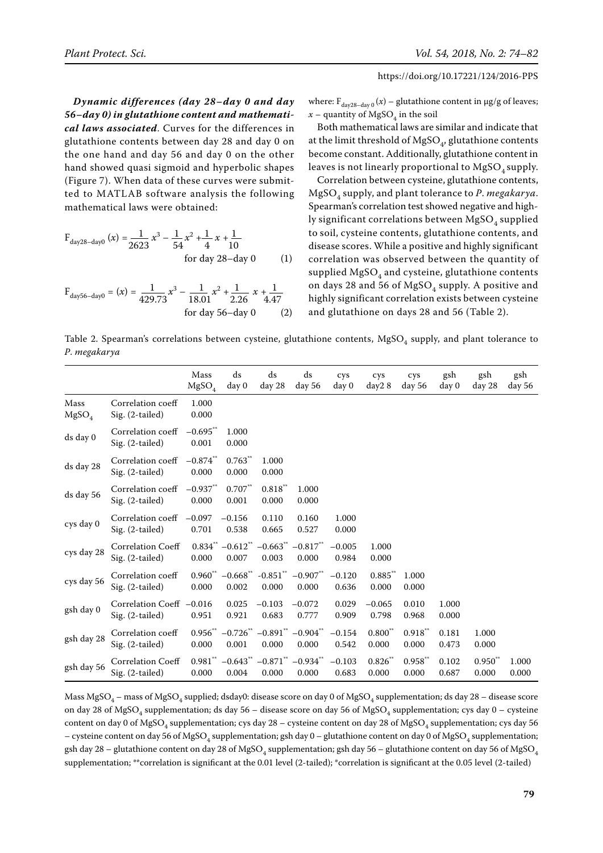*Dynamic differences (day 28–day 0 and day 56–day 0) in glutathione content and mathematical laws associated*. Curves for the differences in glutathione contents between day 28 and day 0 on the one hand and day 56 and day 0 on the other hand showed quasi sigmoid and hyperbolic shapes (Figure 7). When data of these curves were submitted to MATLAB software analysis the following mathematical laws were obtained:

$$
F_{\text{day28-day0}}(x) = \frac{1}{2623}x^3 - \frac{1}{54}x^2 + \frac{1}{4}x + \frac{1}{10}
$$
  
for day 28-day 0 (1)

$$
F_{day56-day0} = (x) = \frac{1}{429.73}x^3 - \frac{1}{18.01}x^2 + \frac{1}{2.26}x + \frac{1}{4.47}
$$
  
for day 56-day 0 (2)

where:  $F_{day28-day 0} (x)$  – glutathione content in  $\mu$ g/g of leaves;  $x$  – quantity of MgSO<sub>4</sub> in the soil

Both mathematical laws are similar and indicate that at the limit threshold of  $MgSO<sub>a</sub>$ , glutathione contents become constant. Additionally, glutathione content in leaves is not linearly proportional to  $MgSO<sub>4</sub>$  supply.

Correlation between cysteine, glutathione contents, MgSO4 supply, and plant tolerance to *P*. *megakarya*. Spearman's correlation test showed negative and highly significant correlations between  $MgSO<sub>4</sub>$  supplied to soil, cysteine contents, glutathione contents, and disease scores. While a positive and highly significant correlation was observed between the quantity of supplied  $MgSO_4$  and cysteine, glutathione contents on days 28 and 56 of  $MgSO<sub>4</sub>$  supply. A positive and highly significant correlation exists between cysteine and glutathione on days 28 and 56 (Table 2).

Table 2. Spearman's correlations between cysteine, glutathione contents,  $MgSO<sub>4</sub>$  supply, and plant tolerance to *P*. *megakarya*

|                           |                                             | Mass<br>MgSO <sub>4</sub>       | ds<br>day 0                    | ds<br>day 28                                      | ds<br>day 56         | cys<br>day 0      | cys<br>day28         | cys<br>day 56       | gsh<br>day <sub>0</sub> | gsh<br>day 28      | gsh<br>day 56  |
|---------------------------|---------------------------------------------|---------------------------------|--------------------------------|---------------------------------------------------|----------------------|-------------------|----------------------|---------------------|-------------------------|--------------------|----------------|
| Mass<br>MgSO <sub>4</sub> | Correlation coeff<br>Sig. (2-tailed)        | 1.000<br>0.000                  |                                |                                                   |                      |                   |                      |                     |                         |                    |                |
| ds day 0                  | Correlation coeff<br>Sig. (2-tailed)        | $-0.695$<br>0.001               | 1.000<br>0.000                 |                                                   |                      |                   |                      |                     |                         |                    |                |
| ds day 28                 | Correlation coeff<br>Sig. (2-tailed)        | $-0.874$ **<br>0.000            | $0.763$ **<br>0.000            | 1.000<br>0.000                                    |                      |                   |                      |                     |                         |                    |                |
| ds day 56                 | Correlation coeff<br>Sig. (2-tailed)        | $-0.937$ <sup>**</sup><br>0.000 | $0.707**$<br>0.001             | 0.818<br>0.000                                    | 1.000<br>0.000       |                   |                      |                     |                         |                    |                |
| cys day 0                 | Correlation coeff<br>Sig. (2-tailed)        | $-0.097$<br>0.701               | $-0.156$<br>0.538              | 0.110<br>0.665                                    | 0.160<br>0.527       | 1.000<br>0.000    |                      |                     |                         |                    |                |
| cys day 28                | <b>Correlation Coeff</b><br>Sig. (2-tailed) | 0.000                           | 0.007                          | $0.834^{**}$ $-0.612^{**}$ $-0.663^{**}$<br>0.003 | $-0.817$<br>0.000    | $-0.005$<br>0.984 | 1.000<br>0.000       |                     |                         |                    |                |
| cys day 56                | Correlation coeff<br>Sig. (2-tailed)        | 0.000                           | $0.960^{**}$ -0.668**<br>0.002 | $-0.851$ **<br>0.000                              | $-0.907$ **<br>0.000 | $-0.120$<br>0.636 | $0.885$ **<br>0.000  | 1.000<br>0.000      |                         |                    |                |
| gsh day 0                 | Correlation Coeff -0.016<br>Sig. (2-tailed) | 0.951                           | 0.025<br>0.921                 | $-0.103$<br>0.683                                 | $-0.072$<br>0.777    | 0.029<br>0.909    | $-0.065$<br>0.798    | 0.010<br>0.968      | 1.000<br>0.000          |                    |                |
| gsh day 28                | Correlation coeff<br>Sig. (2-tailed)        | $0.956^{**}$<br>0.000           | 0.001                          | $-0.726$ $-0.891$ $-0.904$ $-0.904$<br>0.000      | 0.000                | $-0.154$<br>0.542 | $0.800^{*}$<br>0.000 | $0.918$ **<br>0.000 | 0.181<br>0.473          | 1.000<br>0.000     |                |
| gsh day 56                | <b>Correlation Coeff</b><br>Sig. (2-tailed) | $0.981$ "<br>0.000              | 0.004                          | $-0.643$ ** $-0.871$ ** $-0.934$ **<br>0.000      | 0.000                | $-0.103$<br>0.683 | 0.826<br>0.000       | 0.958<br>0.000      | 0.102<br>0.687          | $0.950$ "<br>0.000 | 1.000<br>0.000 |

Mass MgSO<sub>4</sub> – mass of MgSO<sub>4</sub> supplied; dsday0: disease score on day 0 of MgSO<sub>4</sub> supplementation; ds day 28 – disease score on day 28 of MgSO<sub>4</sub> supplementation; ds day 56 – disease score on day 56 of MgSO<sub>4</sub> supplementation; cys day 0 – cysteine content on day 0 of MgSO<sub>4</sub> supplementation; cys day 28 – cysteine content on day 28 of MgSO<sub>4</sub> supplementation; cys day 56 – cysteine content on day 56 of MgSO<sub>4</sub> supplementation; gsh day 0 – glutathione content on day 0 of MgSO<sub>4</sub> supplementation; gsh day 28 – glutathione content on day 28 of MgSO<sub>4</sub> supplementation; gsh day 56 – glutathione content on day 56 of MgSO<sub>4</sub> supplementation; \*\*correlation is significant at the 0.01 level (2-tailed); \*correlation is significant at the 0.05 level (2-tailed)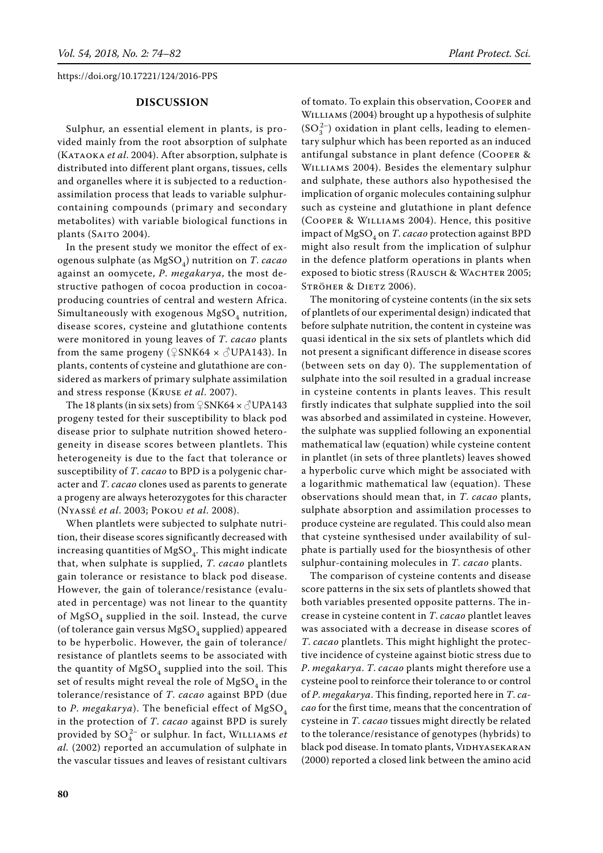## **Discussion**

Sulphur, an essential element in plants, is provided mainly from the root absorption of sulphate (Kataoka *et al*. 2004). After absorption, sulphate is distributed into different plant organs, tissues, cells and organelles where it is subjected to a reductionassimilation process that leads to variable sulphurcontaining compounds (primary and secondary metabolites) with variable biological functions in plants (SAITO 2004).

In the present study we monitor the effect of exogenous sulphate (as MgSO4) nutrition on *T*. *cacao* against an oomycete, *P*. *megakarya*, the most destructive pathogen of cocoa production in cocoaproducing countries of central and western Africa. Simultaneously with exogenous  $MgSO<sub>4</sub>$  nutrition, disease scores, cysteine and glutathione contents were monitored in young leaves of *T*. *cacao* plants from the same progeny (♀SNK64 ×  $\Diamond$ UPA143). In plants, contents of cysteine and glutathione are considered as markers of primary sulphate assimilation and stress response (Kruse *et al*. 2007).

The 18 plants (in six sets) from  $\mathcal{Q}$ SNK64 ×  $\Diamond$ UPA143 progeny tested for their susceptibility to black pod disease prior to sulphate nutrition showed heterogeneity in disease scores between plantlets. This heterogeneity is due to the fact that tolerance or susceptibility of *T*. *cacao* to BPD is a polygenic character and *T*. *cacao* clones used as parents to generate a progeny are always heterozygotes for this character (Nyassé *et al*. 2003; Pokou *et al*. 2008).

When plantlets were subjected to sulphate nutrition, their disease scores significantly decreased with increasing quantities of  $MgSO<sub>4</sub>$ . This might indicate that, when sulphate is supplied, *T*. *cacao* plantlets gain tolerance or resistance to black pod disease. However, the gain of tolerance/resistance (evaluated in percentage) was not linear to the quantity of  $MgSO<sub>4</sub>$  supplied in the soil. Instead, the curve (of tolerance gain versus  $MgSO<sub>4</sub>$  supplied) appeared to be hyperbolic. However, the gain of tolerance/ resistance of plantlets seems to be associated with the quantity of  $MgSO_4$  supplied into the soil. This set of results might reveal the role of  $MgSO<sub>4</sub>$  in the tolerance/resistance of *T*. *cacao* against BPD (due to *P. megakarya*). The beneficial effect of MgSO<sub>4</sub> in the protection of *T*. *cacao* against BPD is surely provided by SO4 2– or sulphur. In fact, Williams *et al.* (2002) reported an accumulation of sulphate in the vascular tissues and leaves of resistant cultivars

of tomato. To explain this observation, Cooper and WILLIAMS (2004) brought up a hypothesis of sulphite  $(SO_3^{2-})$  oxidation in plant cells, leading to elementary sulphur which has been reported as an induced antifungal substance in plant defence (Cooper & Williams 2004). Besides the elementary sulphur and sulphate, these authors also hypothesised the implication of organic molecules containing sulphur such as cysteine and glutathione in plant defence (Cooper & Williams 2004). Hence, this positive impact of MgSO<sub>4</sub> on *T. cacao* protection against BPD might also result from the implication of sulphur in the defence platform operations in plants when exposed to biotic stress (RAUSCH & WACHTER 2005; STRÖHER & DIETZ 2006).

The monitoring of cysteine contents (in the six sets of plantlets of our experimental design) indicated that before sulphate nutrition, the content in cysteine was quasi identical in the six sets of plantlets which did not present a significant difference in disease scores (between sets on day 0). The supplementation of sulphate into the soil resulted in a gradual increase in cysteine contents in plants leaves. This result firstly indicates that sulphate supplied into the soil was absorbed and assimilated in cysteine. However, the sulphate was supplied following an exponential mathematical law (equation) while cysteine content in plantlet (in sets of three plantlets) leaves showed a hyperbolic curve which might be associated with a logarithmic mathematical law (equation). These observations should mean that, in *T*. *cacao* plants, sulphate absorption and assimilation processes to produce cysteine are regulated. This could also mean that cysteine synthesised under availability of sulphate is partially used for the biosynthesis of other sulphur-containing molecules in *T*. *cacao* plants.

The comparison of cysteine contents and disease score patterns in the six sets of plantlets showed that both variables presented opposite patterns. The increase in cysteine content in *T*. *cacao* plantlet leaves was associated with a decrease in disease scores of *T*. *cacao* plantlets. This might highlight the protective incidence of cysteine against biotic stress due to *P*. *megakarya*. *T*. *cacao* plants might therefore use a cysteine pool to reinforce their tolerance to or control of *P*. *megakarya*. This finding, reported here in *T*. *cacao* for the first time, means that the concentration of cysteine in *T*. *cacao* tissues might directly be related to the tolerance/resistance of genotypes (hybrids) to black pod disease. In tomato plants, VIDHYASEKARAN (2000) reported a closed link between the amino acid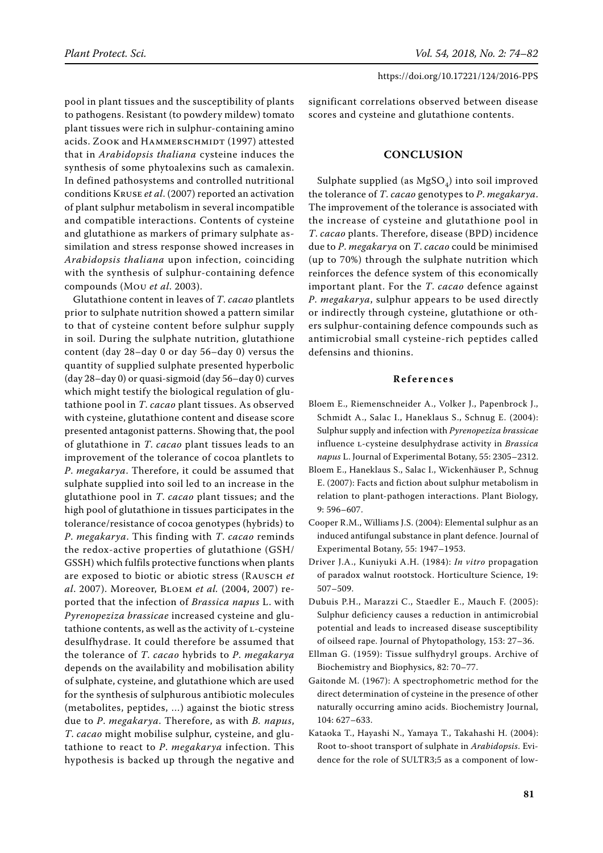pool in plant tissues and the susceptibility of plants to pathogens. Resistant (to powdery mildew) tomato plant tissues were rich in sulphur-containing amino acids. Zook and HAMMERSCHMIDT (1997) attested that in *Arabidopsis thaliana* cysteine induces the synthesis of some phytoalexins such as camalexin. In defined pathosystems and controlled nutritional conditions Kruse *et al*. (2007) reported an activation of plant sulphur metabolism in several incompatible and compatible interactions. Contents of cysteine and glutathione as markers of primary sulphate assimilation and stress response showed increases in *Arabidopsis thaliana* upon infection, coinciding with the synthesis of sulphur-containing defence compounds (Mou *et al*. 2003).

Glutathione content in leaves of *T*. *cacao* plantlets prior to sulphate nutrition showed a pattern similar to that of cysteine content before sulphur supply in soil. During the sulphate nutrition, glutathione content (day 28–day 0 or day 56–day 0) versus the quantity of supplied sulphate presented hyperbolic (day 28–day 0) or quasi-sigmoid (day 56–day 0) curves which might testify the biological regulation of glutathione pool in *T*. *cacao* plant tissues. As observed with cysteine, glutathione content and disease score presented antagonist patterns. Showing that, the pool of glutathione in *T*. *cacao* plant tissues leads to an improvement of the tolerance of cocoa plantlets to *P*. *megakarya*. Therefore, it could be assumed that sulphate supplied into soil led to an increase in the glutathione pool in *T*. *cacao* plant tissues; and the high pool of glutathione in tissues participates in the tolerance/resistance of cocoa genotypes (hybrids) to *P*. *megakarya*. This finding with *T*. *cacao* reminds the redox-active properties of glutathione (GSH/ GSSH) which fulfils protective functions when plants are exposed to biotic or abiotic stress (Rausch *et al*. 2007). Moreover, Bloem *et al.* (2004, 2007) reported that the infection of *Brassica napus* L. with *Pyrenopeziza brassicae* increased cysteine and glutathione contents, as well as the activity of L-cysteine desulfhydrase. It could therefore be assumed that the tolerance of *T*. *cacao* hybrids to *P*. *megakarya* depends on the availability and mobilisation ability of sulphate, cysteine, and glutathione which are used for the synthesis of sulphurous antibiotic molecules (metabolites, peptides, …) against the biotic stress due to *P*. *megakarya*. Therefore, as with *B. napus*, *T*. *cacao* might mobilise sulphur, cysteine, and glutathione to react to *P*. *megakarya* infection. This hypothesis is backed up through the negative and

significant correlations observed between disease scores and cysteine and glutathione contents.

# **Conclusion**

Sulphate supplied (as  $MgSO<sub>A</sub>$ ) into soil improved the tolerance of *T*. *cacao* genotypes to *P*. *megakarya*. The improvement of the tolerance is associated with the increase of cysteine and glutathione pool in *T*. *cacao* plants. Therefore, disease (BPD) incidence due to *P*. *megakarya* on *T*. *cacao* could be minimised (up to 70%) through the sulphate nutrition which reinforces the defence system of this economically important plant. For the *T*. *cacao* defence against *P*. *megakarya*, sulphur appears to be used directly or indirectly through cysteine, glutathione or others sulphur-containing defence compounds such as antimicrobial small cysteine-rich peptides called defensins and thionins.

#### **References**

- Bloem E., Riemenschneider A., Volker J., Papenbrock J., Schmidt A., Salac I., Haneklaus S., Schnug E. (2004): Sulphur supply and infection with *Pyrenopeziza brassicae* influence l-cysteine desulphydrase activity in *Brassica napus* L. Journal of Experimental Botany, 55: 2305–2312.
- Bloem E., Haneklaus S., Salac I., Wickenhäuser P., Schnug E. (2007): Facts and fiction about sulphur metabolism in relation to plant-pathogen interactions. Plant Biology, 9: 596–607.
- Cooper R.M., Williams J.S. (2004): Elemental sulphur as an induced antifungal substance in plant defence. Journal of Experimental Botany, 55: 1947–1953.
- Driver J.A., Kuniyuki A.H. (1984): *In vitro* propagation of paradox walnut rootstock. Horticulture Science, 19: 507–509.
- Dubuis P.H., Marazzi C., Staedler E., Mauch F. (2005): Sulphur deficiency causes a reduction in antimicrobial potential and leads to increased disease susceptibility of oilseed rape. Journal of Phytopathology, 153: 27–36.
- Ellman G. (1959): Tissue sulfhydryl groups. Archive of Biochemistry and Biophysics, 82: 70–77.
- Gaitonde M. (1967): A spectrophometric method for the direct determination of cysteine in the presence of other naturally occurring amino acids. Biochemistry Journal, 104: 627–633.
- Kataoka T., Hayashi N., Yamaya T., Takahashi H. (2004): Root to-shoot transport of sulphate in *Arabidopsis*. Evidence for the role of SULTR3;5 as a component of low-